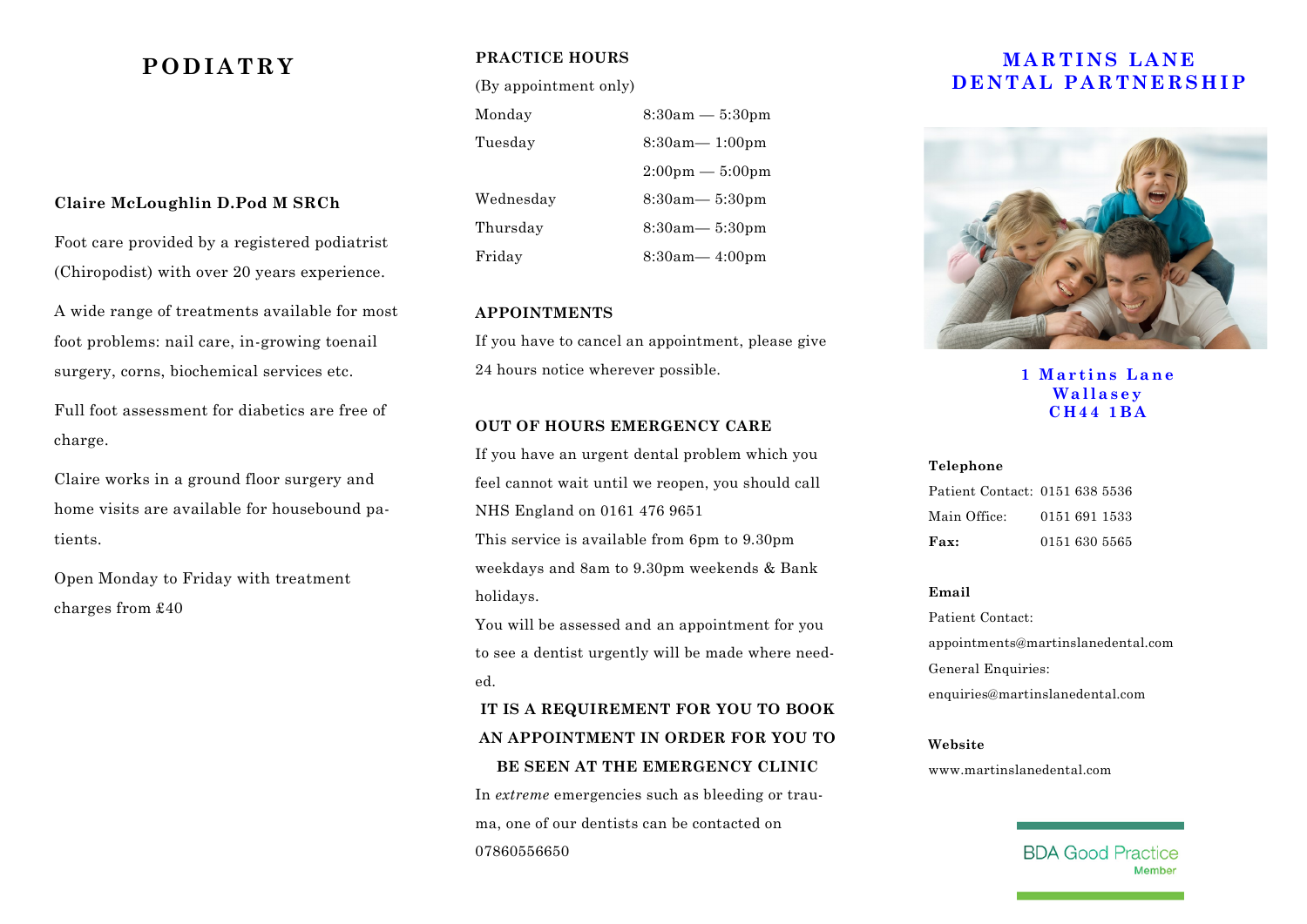## **Claire McLoughlin D.Pod M SRCh**

Foot care provided by a registered podiatrist (Chiropodist) with over 20 years experience.

A wide range of treatments available for most foot problems: nail care, in-growing toenail surgery, corns, biochemical services etc.

Full foot assessment for diabetics are free of charge.

Claire works in a ground floor surgery and home visits are available for housebound patients.

Open Monday to Friday with treatment charges from £40

## **PRACTICE HOURS**

(By appointment only)

Monday 8:30am — 5:30pm Tuesday 8:30am— 1:00pm  $2:00 \,\mathrm{nm} - 5:00 \,\mathrm{nm}$ Wednesday 8:30am— 5:30pm Thursday 8:30am— 5:30pm Friday 8:30am— 4:00pm

## **APPOINTMENTS**

If you have to cancel an appointment, please give 24 hours notice wherever possible.

## **OUT OF HOURS EMERGENCY CARE**

If you have an urgent dental problem which you feel cannot wait until we reopen, you should call NHS England on 0161 476 9651 This service is available from 6pm to 9.30pm weekdays and 8am to 9.30pm weekends & Bank holidays.

You will be assessed and an appointment for you to see a dentist urgently will be made where needed.

# **IT IS A REQUIREMENT FOR YOU TO BOOK AN APPOINTMENT IN ORDER FOR YOU TO BE SEEN AT THE EMERGENCY CLINIC**

In *extreme* emergencies such as bleeding or trauma, one of our dentists can be contacted on 07860556650

# **PODIATRY PRACTICE HOURS MARTINS LANE D E N T A L P A R T N E R S H I P**



**1 M a r t i n s L a n e W a l l a s e y C H 4 4 1 B A**

#### **Telephone**

| Patient Contact: 0151 638 5536 |               |
|--------------------------------|---------------|
| Main Office:                   | 0151 691 1533 |
| Fax:                           | 0151 630 5565 |

## **Email**

Patient Contact: appointments@martinslanedental.com General Enquiries: enquiries@martinslanedental.com

#### **Website**

www.martinslanedental.com

**BDA Good Practice**